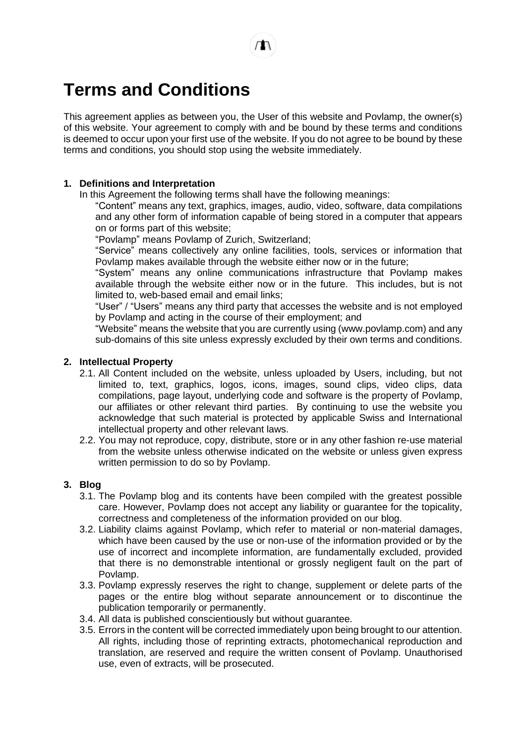# **Terms and Conditions**

This agreement applies as between you, the User of this website and Povlamp, the owner(s) of this website. Your agreement to comply with and be bound by these terms and conditions is deemed to occur upon your first use of the website. If you do not agree to be bound by these terms and conditions, you should stop using the website immediately.

#### **1. Definitions and Interpretation**

In this Agreement the following terms shall have the following meanings:

"Content" means any text, graphics, images, audio, video, software, data compilations and any other form of information capable of being stored in a computer that appears on or forms part of this website;

"Povlamp" means Povlamp of Zurich, Switzerland;

"Service" means collectively any online facilities, tools, services or information that Povlamp makes available through the website either now or in the future;

"System" means any online communications infrastructure that Povlamp makes available through the website either now or in the future. This includes, but is not limited to, web-based email and email links;

"User" / "Users" means any third party that accesses the website and is not employed by Povlamp and acting in the course of their employment; and

"Website" means the website that you are currently using (www.povlamp.com) and any sub-domains of this site unless expressly excluded by their own terms and conditions.

#### **2. Intellectual Property**

- 2.1. All Content included on the website, unless uploaded by Users, including, but not limited to, text, graphics, logos, icons, images, sound clips, video clips, data compilations, page layout, underlying code and software is the property of Povlamp, our affiliates or other relevant third parties. By continuing to use the website you acknowledge that such material is protected by applicable Swiss and International intellectual property and other relevant laws.
- 2.2. You may not reproduce, copy, distribute, store or in any other fashion re-use material from the website unless otherwise indicated on the website or unless given express written permission to do so by Povlamp.

### **3. Blog**

- 3.1. The Povlamp blog and its contents have been compiled with the greatest possible care. However, Povlamp does not accept any liability or guarantee for the topicality, correctness and completeness of the information provided on our blog.
- 3.2. Liability claims against Povlamp, which refer to material or non-material damages, which have been caused by the use or non-use of the information provided or by the use of incorrect and incomplete information, are fundamentally excluded, provided that there is no demonstrable intentional or grossly negligent fault on the part of Povlamp.
- 3.3. Povlamp expressly reserves the right to change, supplement or delete parts of the pages or the entire blog without separate announcement or to discontinue the publication temporarily or permanently.
- 3.4. All data is published conscientiously but without guarantee.
- 3.5. Errors in the content will be corrected immediately upon being brought to our attention. All rights, including those of reprinting extracts, photomechanical reproduction and translation, are reserved and require the written consent of Povlamp. Unauthorised use, even of extracts, will be prosecuted.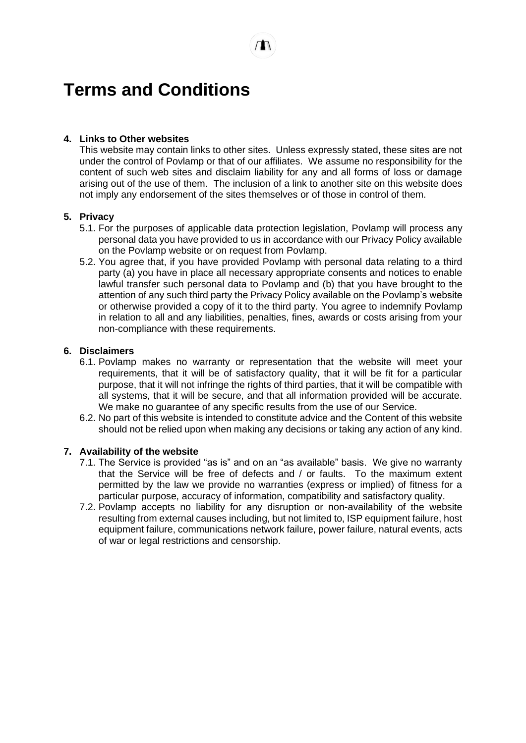# **Terms and Conditions**

## **4. Links to Other websites**

This website may contain links to other sites. Unless expressly stated, these sites are not under the control of Povlamp or that of our affiliates. We assume no responsibility for the content of such web sites and disclaim liability for any and all forms of loss or damage arising out of the use of them. The inclusion of a link to another site on this website does not imply any endorsement of the sites themselves or of those in control of them.

## **5. Privacy**

- 5.1. For the purposes of applicable data protection legislation, Povlamp will process any personal data you have provided to us in accordance with our Privacy Policy available on the Povlamp website or on request from Povlamp.
- 5.2. You agree that, if you have provided Povlamp with personal data relating to a third party (a) you have in place all necessary appropriate consents and notices to enable lawful transfer such personal data to Povlamp and (b) that you have brought to the attention of any such third party the Privacy Policy available on the Povlamp's website or otherwise provided a copy of it to the third party. You agree to indemnify Povlamp in relation to all and any liabilities, penalties, fines, awards or costs arising from your non-compliance with these requirements.

### **6. Disclaimers**

- 6.1. Povlamp makes no warranty or representation that the website will meet your requirements, that it will be of satisfactory quality, that it will be fit for a particular purpose, that it will not infringe the rights of third parties, that it will be compatible with all systems, that it will be secure, and that all information provided will be accurate. We make no guarantee of any specific results from the use of our Service.
- 6.2. No part of this website is intended to constitute advice and the Content of this website should not be relied upon when making any decisions or taking any action of any kind.

### **7. Availability of the website**

- 7.1. The Service is provided "as is" and on an "as available" basis. We give no warranty that the Service will be free of defects and / or faults. To the maximum extent permitted by the law we provide no warranties (express or implied) of fitness for a particular purpose, accuracy of information, compatibility and satisfactory quality.
- 7.2. Povlamp accepts no liability for any disruption or non-availability of the website resulting from external causes including, but not limited to, ISP equipment failure, host equipment failure, communications network failure, power failure, natural events, acts of war or legal restrictions and censorship.